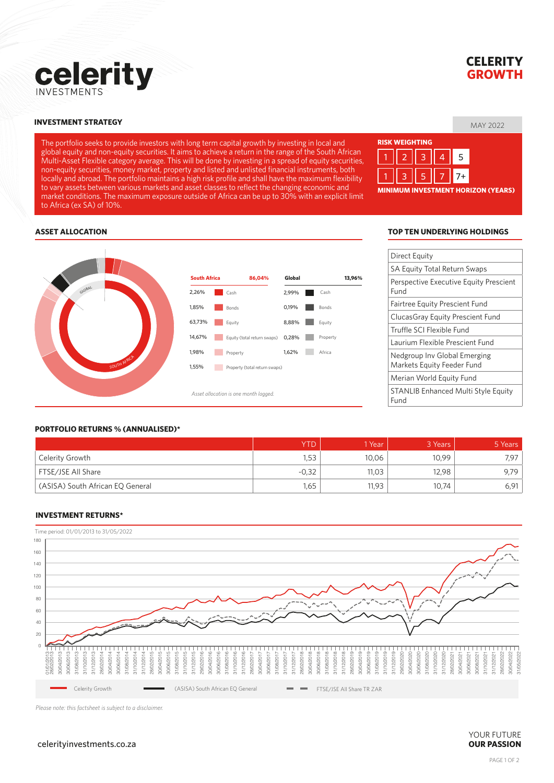

# **CELERITY GROWTH**

## MAY 2022 **INVESTMENT STRATEGY**

The portfolio seeks to provide investors with long term capital growth by investing in local and global equity and non-equity securities. It aims to achieve a return in the range of the South African Multi-Asset Flexible category average. This will be done by investing in a spread of equity securities, non-equity securities, money market, property and listed and unlisted financial instruments, both locally and abroad. The portfolio maintains a high risk profile and shall have the maximum flexibility to vary assets between various markets and asset classes to reflect the changing economic and market conditions. The maximum exposure outside of Africa can be up to 30% with an explicit limit to Africa (ex SA) of 10%.

| <b>RISK WEIGHTING</b>                     |  |  |  |  |  |  |  |  |  |  |
|-------------------------------------------|--|--|--|--|--|--|--|--|--|--|
|                                           |  |  |  |  |  |  |  |  |  |  |
|                                           |  |  |  |  |  |  |  |  |  |  |
| <b>MINIMUM INVESTMENT HORIZON (YEARS)</b> |  |  |  |  |  |  |  |  |  |  |

#### **ASSET ALLOCATION**



#### **TOP TEN UNDERLYING HOLDINGS**

| Direct Equity                                              |
|------------------------------------------------------------|
| <b>SA Equity Total Return Swaps</b>                        |
| Perspective Executive Equity Prescient<br>Fund             |
| <b>Fairtree Equity Prescient Fund</b>                      |
| Clucas Gray Equity Prescient Fund                          |
| Truffle SCI Flexible Fund                                  |
| Laurium Flexible Prescient Fund                            |
| Nedgroup Inv Global Emerging<br>Markets Equity Feeder Fund |
| Merian World Equity Fund                                   |
| <b>STANLIB Enhanced Multi Style Equity</b><br>Fund         |

#### **PORTFOLIO RETURNS % (ANNUALISED)\***

|                                  | YTD     | Year  | 3 Years | 5 Years |
|----------------------------------|---------|-------|---------|---------|
| Celerity Growth                  | 1,53    | 10,06 | 10,99   | 7.97    |
| FTSE/JSE All Share               | $-0,32$ | 11,03 | 12,98   | 9.79    |
| (ASISA) South African EQ General | 1,65    | 11,93 | 10,74   | 6,91    |

#### **INVESTMENT RETURNS\***



*Please note: this factsheet is subject to a disclaimer.*